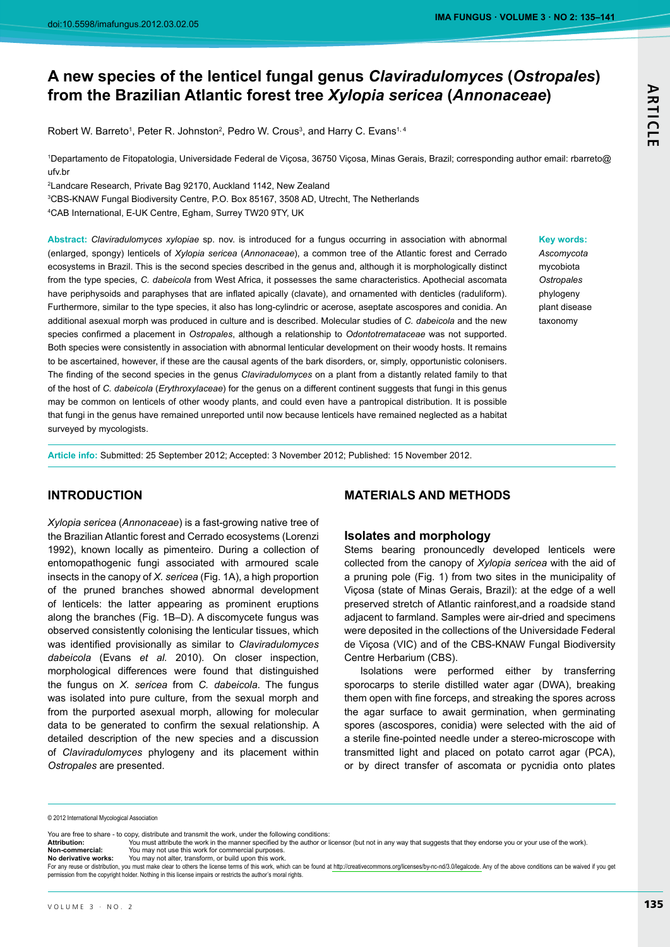© 2012 International Mycological Association

You are free to share - to copy, distribute and transmit the work, under the following conditions:

Attribution: .<br>You must attribute the work in the manner specified by the author or licensor (but not in any way that suggests that they endorse you or your use of the work). Non-commercial: You may not use this work for commercial purposes

No derivative works: You may not alter, transform, or build upon this work

For any reuse or distribution, you must make clear to others the license terms of this work, which can be found at http://creativecommons.org/licenses/by-nc-nd/3.0/legalcode. Any of the above conditions can be waived if yo permission from the copyright holder. Nothing in this license impairs or restricts the author's moral rights.

# A new species of the lenticel fungal genus Claviradulomyces (Ostropales) from the Brazilian Atlantic forest tree Xylopia sericea (Annonaceae)

Robert W. Barreto<sup>1</sup>, Peter R. Johnston<sup>2</sup>, Pedro W. Crous<sup>3</sup>, and Harry C. Evans<sup>1, 4</sup>

1Departamento de Fitopatologia, Universidade Federal de Viçosa, 36750 Viçosa, Minas Gerais, Brazil; corresponding author email: rbarreto@ ufv br

<sup>2</sup> Landcare Research, Private Bag 92170, Auckland 1142, New Zealand

<sup>3</sup>CBS-KNAW Fungal Biodiversity Centre, P.O. Box 85167, 3508 AD, Utrecht, The Netherlands <sup>4</sup>CAB International, E-UK Centre, Egham, Surrey TW20 9TY, UK

Abstract: Claviradulomyces xylopiae sp. nov. is introduced for a fungus occurring in association with abnormal (enlarged, spongy) lenticels of Xylopia sericea (Annonaceae), a common tree of the Atlantic forest and Cerrado ecosystems in Brazil. This is the second species described in the genus and, although it is morphologically distinct from the type species, C. dabeicola from West Africa, it possesses the same characteristics. Apothecial ascomata have periphysoids and paraphyses that are inflated apically (clavate), and ornamented with denticles (raduliform). Furthermore, similar to the type species, it also has long-cylindric or acerose, aseptate ascospores and conidia. An additional asexual morph was produced in culture and is described. Molecular studies of C. dabeicola and the new species confirmed a placement in Ostropales, although a relationship to Odontotremataceae was not supported. Both species were consistently in association with abnormal lenticular development on their woody hosts. It remains to be ascertained, however, if these are the causal agents of the bark disorders, or, simply, opportunistic colonisers. The finding of the second species in the genus Claviradulomyces on a plant from a distantly related family to that of the host of C. dabeicola (Erythroxylaceae) for the genus on a different continent suggests that fungi in this genus may be common on lenticels of other woody plants, and could even have a pantropical distribution. It is possible that fungi in the genus have remained unreported until now because lenticels have remained neglected as a habitat surveyed by mycologists.

Article info: Submitted: 25 September 2012; Accepted: 3 November 2012; Published: 15 November 2012.

## **INTRODUCTION**

Xylopia sericea (Annonaceae) is a fast-growing native tree of the Brazilian Atlantic forest and Cerrado ecosystems (Lorenzi 1992), known locally as pimenteiro. During a collection of entomopathogenic fungi associated with armoured scale insects in the canopy of  $X$ . sericea (Fig. 1A), a high proportion of the pruned branches showed abnormal development of lenticels: the latter appearing as prominent eruptions along the branches (Fig. 1B-D). A discomycete fungus was observed consistently colonising the lenticular tissues, which was identified provisionally as similar to Claviradulomyces dabeicola (Evans et al. 2010). On closer inspection, morphological differences were found that distinguished the fungus on X. sericea from C. dabeicola. The fungus was isolated into pure culture, from the sexual morph and from the purported asexual morph, allowing for molecular data to be generated to confirm the sexual relationship. A detailed description of the new species and a discussion of Claviradulomyces phylogeny and its placement within Ostropales are presented.

## **MATERIALS AND METHODS**

## **Isolates and morphology**

Stems bearing pronouncedly developed lenticels were collected from the canopy of Xylopia sericea with the aid of a pruning pole (Fig. 1) from two sites in the municipality of Viçosa (state of Minas Gerais, Brazil): at the edge of a well preserved stretch of Atlantic rainforest, and a roadside stand adjacent to farmland. Samples were air-dried and specimens were deposited in the collections of the Universidade Federal de Vicosa (VIC) and of the CBS-KNAW Fungal Biodiversity Centre Herbarium (CBS).

Isolations were performed either by transferring sporocarps to sterile distilled water agar (DWA), breaking them open with fine forceps, and streaking the spores across the agar surface to await germination, when germinating spores (ascospores, conidia) were selected with the aid of a sterile fine-pointed needle under a stereo-microscope with transmitted light and placed on potato carrot agar (PCA), or by direct transfer of ascomata or pycnidia onto plates

**Key words:** 

**ARTICLE** 

Ascomvcota mycobiota Ostropales phylogeny plant disease taxonomy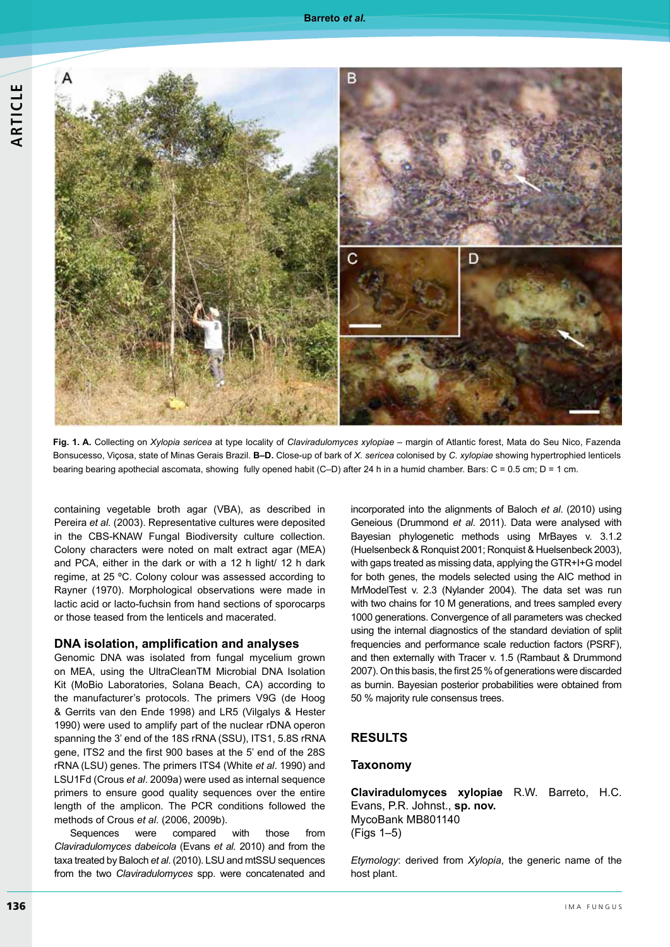

Fig. 1. A. Collecting on Xylopia sericea at type locality of Claviradulomyces xylopiae - margin of Atlantic forest, Mata do Seu Nico, Fazenda Bonsucesso, Viçosa, state of Minas Gerais Brazil. B-D. Close-up of bark of X. sericea colonised by C. xylopiae showing hypertrophied lenticels bearing bearing apothecial ascomata, showing fully opened habit (C-D) after 24 h in a humid chamber. Bars: C = 0.5 cm; D = 1 cm.

containing vegetable broth agar (VBA), as described in Pereira et al. (2003). Representative cultures were deposited in the CBS-KNAW Fungal Biodiversity culture collection. Colony characters were noted on malt extract agar (MEA) and PCA, either in the dark or with a 12 h light/ 12 h dark regime, at 25 °C. Colony colour was assessed according to Rayner (1970). Morphological observations were made in lactic acid or lacto-fuchsin from hand sections of sporocarps or those teased from the lenticels and macerated.

#### DNA isolation, amplification and analyses

Genomic DNA was isolated from fungal mycelium grown on MEA, using the UltraCleanTM Microbial DNA Isolation Kit (MoBio Laboratories, Solana Beach, CA) according to the manufacturer's protocols. The primers V9G (de Hoog & Gerrits van den Ende 1998) and LR5 (Vilgalys & Hester 1990) were used to amplify part of the nuclear rDNA operon spanning the 3' end of the 18S rRNA (SSU), ITS1, 5.8S rRNA gene, ITS2 and the first 900 bases at the 5' end of the 28S rRNA (LSU) genes. The primers ITS4 (White et al. 1990) and LSU1Fd (Crous et al. 2009a) were used as internal sequence primers to ensure good quality sequences over the entire length of the amplicon. The PCR conditions followed the methods of Crous et al. (2006, 2009b).

Sequences were compared with those from Claviradulomyces dabeicola (Evans et al. 2010) and from the taxa treated by Baloch et al. (2010). LSU and mtSSU sequences from the two Claviradulomyces spp. were concatenated and incorporated into the alignments of Baloch et al. (2010) using Geneious (Drummond et al. 2011). Data were analysed with Bayesian phylogenetic methods using MrBayes v. 3.1.2 (Huelsenbeck & Ronquist 2001; Ronquist & Huelsenbeck 2003), with gaps treated as missing data, applying the GTR+I+G model for both genes, the models selected using the AIC method in MrModelTest v. 2.3 (Nylander 2004). The data set was run with two chains for 10 M generations, and trees sampled every 1000 generations. Convergence of all parameters was checked using the internal diagnostics of the standard deviation of split frequencies and performance scale reduction factors (PSRF), and then externally with Tracer v. 1.5 (Rambaut & Drummond 2007). On this basis, the first 25 % of generations were discarded as burnin. Bayesian posterior probabilities were obtained from 50 % majority rule consensus trees.

### **RESULTS**

#### **Taxonomy**

Claviradulomyces xylopiae R.W. Barreto, H.C. Evans, P.R. Johnst., sp. nov. MycoBank MB801140  $(Figs 1-5)$ 

Etymology: derived from Xylopia, the generic name of the host plant.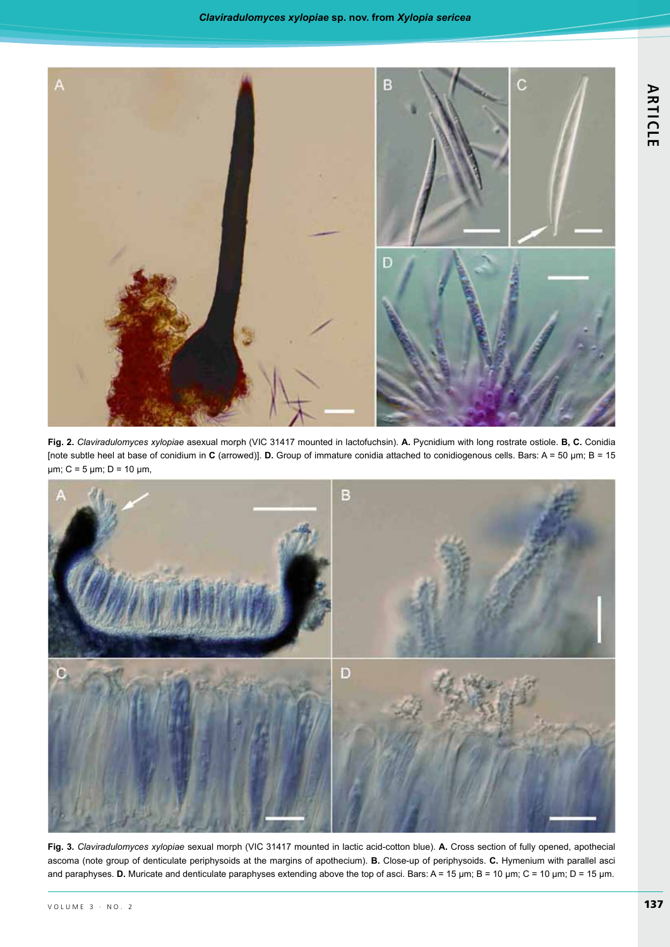

Fig. 2. Claviradulomyces xylopiae asexual morph (VIC 31417 mounted in lactofuchsin). A. Pycnidium with long rostrate ostiole. B, C. Conidia [note subtle heel at base of conidium in C (arrowed)]. D. Group of immature conidia attached to conidiogenous cells. Bars: A = 50 µm; B = 15  $\mu$ m; C = 5  $\mu$ m; D = 10  $\mu$ m,



Fig. 3. Claviradulomyces xylopiae sexual morph (VIC 31417 mounted in lactic acid-cotton blue). A. Cross section of fully opened, apothecial ascoma (note group of denticulate periphysoids at the margins of apothecium). B. Close-up of periphysoids. C. Hymenium with parallel asci and paraphyses. D. Muricate and denticulate paraphyses extending above the top of asci. Bars: A = 15 µm; B = 10 µm; C = 10 µm; D = 15 µm.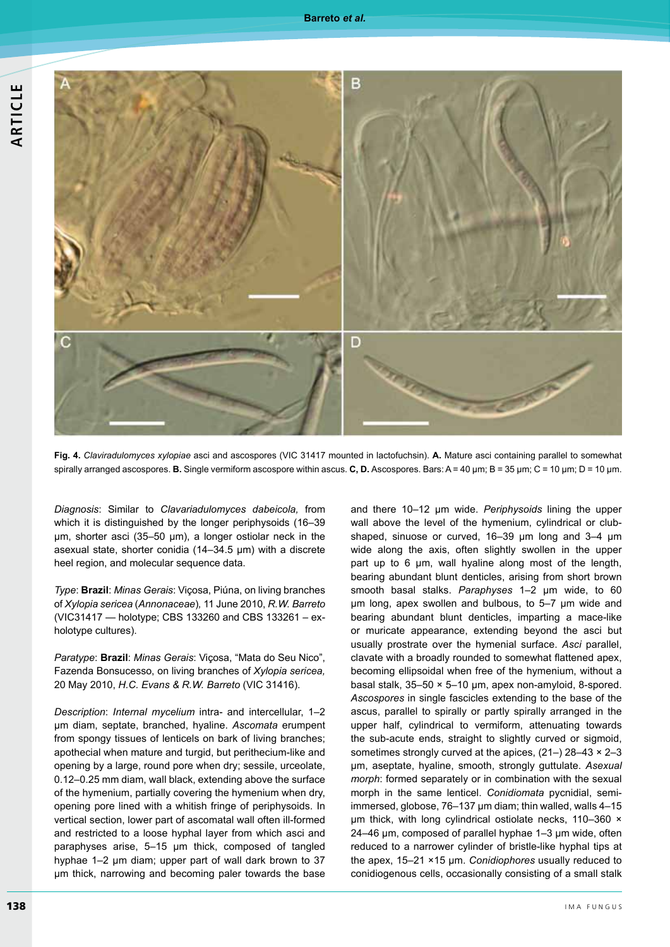

Fig. 4. Claviradulomyces xylopiae asci and ascospores (VIC 31417 mounted in lactofuchsin). A. Mature asci containing parallel to somewhat spirally arranged ascospores. **B.** Single vermiform ascospore within ascus. C, D. Ascospores. Bars: A = 40 µm; B = 35 µm; C = 10 µm; D = 10 µm.

Diagnosis: Similar to Clavariadulomyces dabeicola, from which it is distinguished by the longer periphysoids (16-39  $\mu$ m, shorter asci (35-50  $\mu$ m), a longer ostiolar neck in the asexual state, shorter conidia (14-34.5 µm) with a discrete heel region, and molecular sequence data.

Type: Brazil: Minas Gerais: Viçosa, Piúna, on living branches of Xylopia sericea (Annonaceae), 11 June 2010, R.W. Barreto (VIC31417 - holotype; CBS 133260 and CBS 133261 - exholotype cultures).

Paratype: Brazil: Minas Gerais: Vicosa, "Mata do Seu Nico", Fazenda Bonsucesso, on living branches of Xylopia sericea, 20 May 2010, H.C. Evans & R.W. Barreto (VIC 31416).

Description: Internal mycelium intra- and intercellular, 1-2 µm diam, septate, branched, hyaline. Ascomata erumpent from spongy tissues of lenticels on bark of living branches; apothecial when mature and turgid, but perithecium-like and opening by a large, round pore when dry; sessile, urceolate, 0.12-0.25 mm diam, wall black, extending above the surface of the hymenium, partially covering the hymenium when dry, opening pore lined with a whitish fringe of periphysoids. In vertical section, lower part of ascomatal wall often ill-formed and restricted to a loose hyphal layer from which asci and paraphyses arise, 5-15 um thick, composed of tangled hyphae 1-2 um diam; upper part of wall dark brown to 37 um thick, narrowing and becoming paler towards the base

and there 10-12 µm wide. Periphysoids lining the upper wall above the level of the hymenium, cylindrical or clubshaped, sinuose or curved, 16-39 um long and 3-4 um wide along the axis, often slightly swollen in the upper part up to 6 um, wall hyaline along most of the length, bearing abundant blunt denticles, arising from short brown smooth basal stalks. Paraphyses 1-2 um wide, to 60 um long, apex swollen and bulbous, to 5-7 um wide and bearing abundant blunt denticles, imparting a mace-like or muricate appearance, extending beyond the asci but usually prostrate over the hymenial surface. Asci parallel, clavate with a broadly rounded to somewhat flattened apex, becoming ellipsoidal when free of the hymenium, without a basal stalk, 35-50 × 5-10 µm, apex non-amyloid, 8-spored. Ascospores in single fascicles extending to the base of the ascus, parallel to spirally or partly spirally arranged in the upper half, cylindrical to vermiform, attenuating towards the sub-acute ends, straight to slightly curved or sigmoid, sometimes strongly curved at the apices,  $(21-)$  28-43  $\times$  2-3 µm, aseptate, hyaline, smooth, strongly guttulate. Asexual morph: formed separately or in combination with the sexual morph in the same lenticel. Conidiomata pycnidial, semiimmersed, globose, 76-137 µm diam; thin walled, walls 4-15  $\mu$ m thick, with long cylindrical ostiolate necks, 110-360  $\times$ 24-46 µm, composed of parallel hyphae 1-3 µm wide, often reduced to a narrower cylinder of bristle-like hyphal tips at the apex, 15-21 ×15 µm. Conidiophores usually reduced to conidiogenous cells, occasionally consisting of a small stalk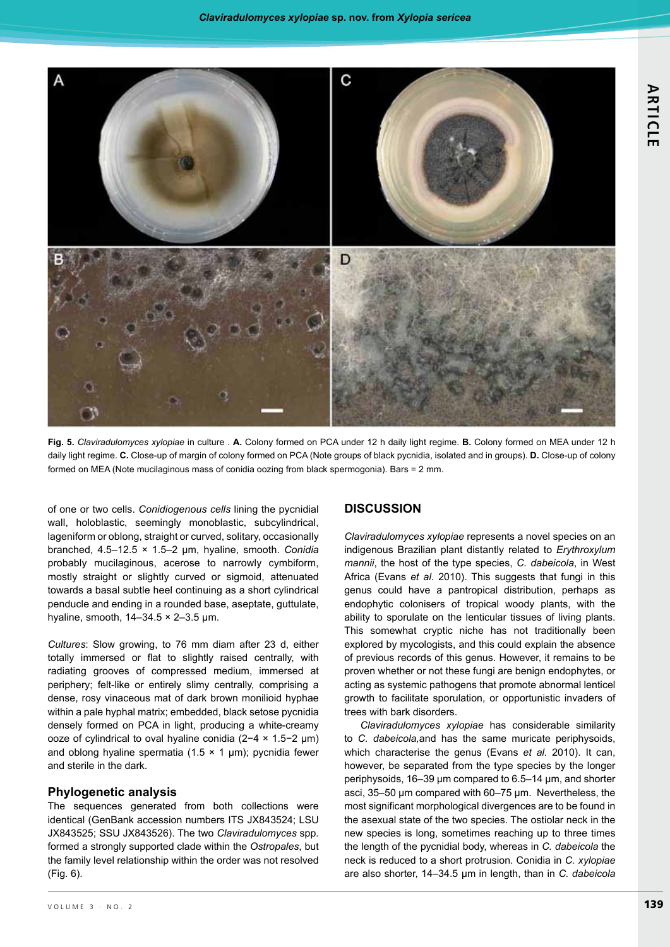

Fig. 5. Claviradulomyces xylopiae in culture . A. Colony formed on PCA under 12 h daily light regime. B. Colony formed on MEA under 12 h daily light regime. C. Close-up of margin of colony formed on PCA (Note groups of black pycnidia, isolated and in groups). D. Close-up of colony formed on MEA (Note mucilaginous mass of conidia oozing from black spermogonia). Bars = 2 mm.

of one or two cells. Conidiogenous cells lining the pycnidial wall, holoblastic, seemingly monoblastic, subcylindrical, lageniform or oblong, straight or curved, solitary, occasionally branched,  $4.5-12.5 \times 1.5-2$  µm, hyaline, smooth. Conidia probably mucilaginous, acerose to narrowly cymbiform, mostly straight or slightly curved or sigmoid, attenuated towards a basal subtle heel continuing as a short cylindrical penducle and ending in a rounded base, aseptate, guttulate, hyaline, smooth,  $14-34.5 \times 2-3.5 \mu m$ .

Cultures: Slow growing, to 76 mm diam after 23 d, either totally immersed or flat to slightly raised centrally, with radiating grooves of compressed medium, immersed at periphery; felt-like or entirely slimy centrally, comprising a dense, rosy vinaceous mat of dark brown monilioid hyphae within a pale hyphal matrix; embedded, black setose pycnidia densely formed on PCA in light, producing a white-creamy ooze of cylindrical to oval hyaline conidia ( $2-4 \times 1.5-2 \mu m$ ) and oblong hyaline spermatia (1.5  $\times$  1 µm); pycnidia fewer and sterile in the dark.

#### **Phylogenetic analysis**

The sequences generated from both collections were identical (GenBank accession numbers ITS JX843524; LSU JX843525; SSU JX843526). The two Claviradulomyces spp. formed a strongly supported clade within the Ostropales, but the family level relationship within the order was not resolved (Fig. 6).

#### **DISCUSSION**

Claviradulomyces xylopiae represents a novel species on an indigenous Brazilian plant distantly related to Erythroxylum mannii, the host of the type species, C. dabeicola, in West Africa (Evans et al. 2010). This suggests that fungi in this genus could have a pantropical distribution, perhaps as endophytic colonisers of tropical woody plants, with the ability to sporulate on the lenticular tissues of living plants. This somewhat cryptic niche has not traditionally been explored by mycologists, and this could explain the absence of previous records of this genus. However, it remains to be proven whether or not these fungi are benign endophytes, or acting as systemic pathogens that promote abnormal lenticel growth to facilitate sporulation, or opportunistic invaders of trees with bark disorders.

Claviradulomyces xylopiae has considerable similarity to C. dabeicola, and has the same muricate periphysoids, which characterise the genus (Evans et al. 2010). It can, however, be separated from the type species by the longer periphysoids, 16-39 µm compared to 6.5-14 µm, and shorter asci, 35-50 um compared with 60-75 um. Nevertheless, the most significant morphological divergences are to be found in the asexual state of the two species. The ostiolar neck in the new species is long, sometimes reaching up to three times the length of the pycnidial body, whereas in C. dabeicola the neck is reduced to a short protrusion. Conidia in C. xylopiae are also shorter, 14-34.5 µm in length, than in C. dabeicola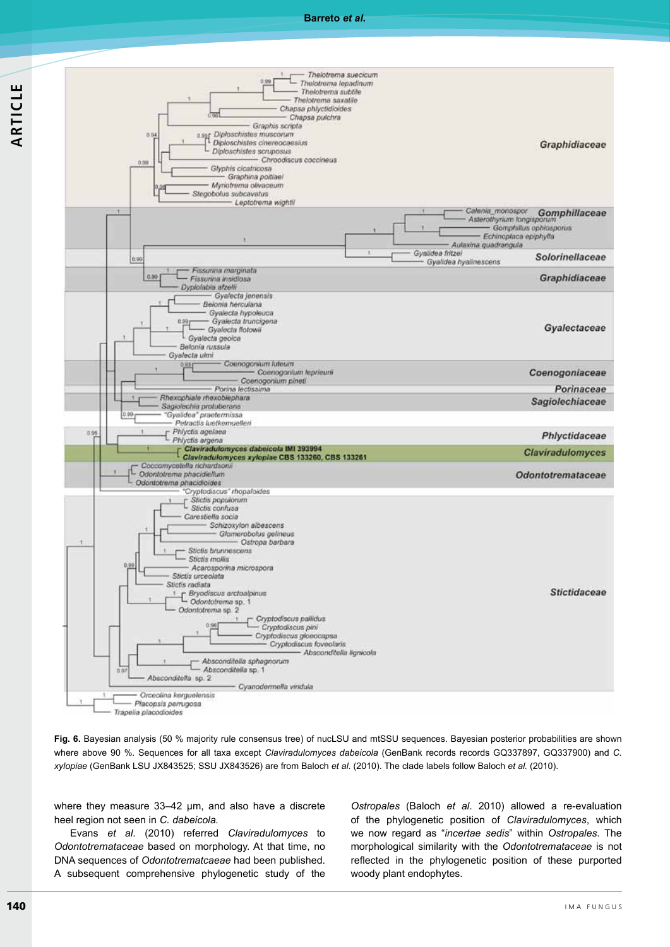



Fig. 6. Bayesian analysis (50 % majority rule consensus tree) of nucLSU and mtSSU sequences. Bayesian posterior probabilities are shown where above 90 %. Sequences for all taxa except Claviradulomyces dabeicola (GenBank records records GQ337897, GQ337900) and C. xylopiae (GenBank LSU JX843525; SSU JX843526) are from Baloch et al. (2010). The clade labels follow Baloch et al. (2010).

where they measure 33-42 um, and also have a discrete heel region not seen in C. dabeicola.

Evans et al. (2010) referred Claviradulomyces to Odontotremataceae based on morphology. At that time, no DNA sequences of Odontotrematcaeae had been published. A subsequent comprehensive phylogenetic study of the Ostropales (Baloch et al. 2010) allowed a re-evaluation of the phylogenetic position of Claviradulomyces, which we now regard as "incertae sedis" within Ostropales. The morphological similarity with the Odontotremataceae is not reflected in the phylogenetic position of these purported woody plant endophytes.